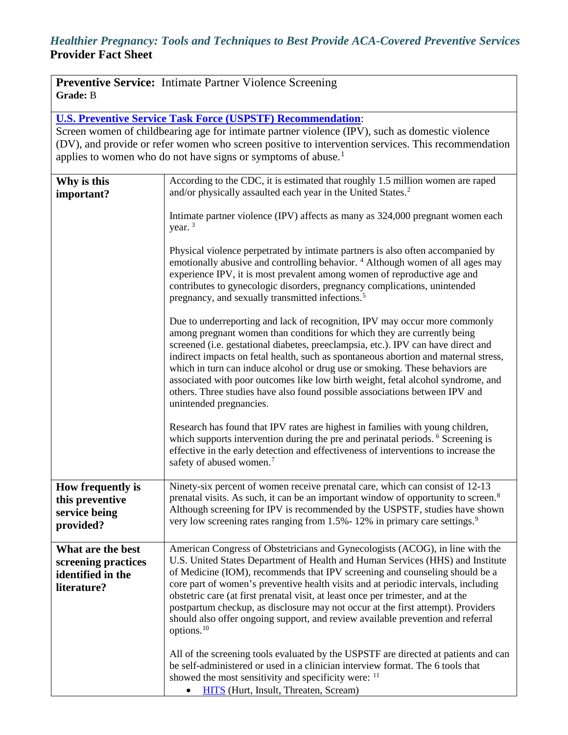# *Healthier Pregnancy: Tools and Techniques to Best Provide ACA-Covered Preventive Services* **Provider Fact Sheet**

|                 | <b>Preventive Service:</b> Intimate Partner Violence Screening |
|-----------------|----------------------------------------------------------------|
| <b>Grade:</b> B |                                                                |

**[U.S. Preventive Service Task Force \(USPSTF\)](http://www.uspreventiveservicestaskforce.org/uspstf12/ipvelder/ipvelderfinalrs.htm) Recommendation**:

Screen women of childbearing age for intimate partner violence (IPV), such as domestic violence (DV), and provide or refer women who screen positive to intervention services. This recommendation applies to women who do not have signs or symptoms of abuse.<sup>[1](#page-3-0)</sup>

| Why is this<br>important?                                                    | According to the CDC, it is estimated that roughly 1.5 million women are raped<br>and/or physically assaulted each year in the United States. <sup>2</sup>                                                                                                                                                                                                                                                                                                                                                                                                                                                       |
|------------------------------------------------------------------------------|------------------------------------------------------------------------------------------------------------------------------------------------------------------------------------------------------------------------------------------------------------------------------------------------------------------------------------------------------------------------------------------------------------------------------------------------------------------------------------------------------------------------------------------------------------------------------------------------------------------|
|                                                                              | Intimate partner violence (IPV) affects as many as 324,000 pregnant women each<br>year. $3$                                                                                                                                                                                                                                                                                                                                                                                                                                                                                                                      |
|                                                                              | Physical violence perpetrated by intimate partners is also often accompanied by<br>emotionally abusive and controlling behavior. <sup>4</sup> Although women of all ages may<br>experience IPV, it is most prevalent among women of reproductive age and<br>contributes to gynecologic disorders, pregnancy complications, unintended<br>pregnancy, and sexually transmitted infections. <sup>5</sup>                                                                                                                                                                                                            |
|                                                                              | Due to underreporting and lack of recognition, IPV may occur more commonly<br>among pregnant women than conditions for which they are currently being<br>screened (i.e. gestational diabetes, preeclampsia, etc.). IPV can have direct and<br>indirect impacts on fetal health, such as spontaneous abortion and maternal stress,<br>which in turn can induce alcohol or drug use or smoking. These behaviors are<br>associated with poor outcomes like low birth weight, fetal alcohol syndrome, and<br>others. Three studies have also found possible associations between IPV and<br>unintended pregnancies.  |
|                                                                              | Research has found that IPV rates are highest in families with young children,<br>which supports intervention during the pre and perinatal periods. <sup>6</sup> Screening is<br>effective in the early detection and effectiveness of interventions to increase the<br>safety of abused women. <sup>7</sup>                                                                                                                                                                                                                                                                                                     |
| How frequently is<br>this preventive<br>service being<br>provided?           | Ninety-six percent of women receive prenatal care, which can consist of 12-13<br>prenatal visits. As such, it can be an important window of opportunity to screen. <sup>8</sup><br>Although screening for IPV is recommended by the USPSTF, studies have shown<br>very low screening rates ranging from 1.5% - 12% in primary care settings. <sup>9</sup>                                                                                                                                                                                                                                                        |
| What are the best<br>screening practices<br>identified in the<br>literature? | American Congress of Obstetricians and Gynecologists (ACOG), in line with the<br>U.S. United States Department of Health and Human Services (HHS) and Institute<br>of Medicine (IOM), recommends that IPV screening and counseling should be a<br>core part of women's preventive health visits and at periodic intervals, including<br>obstetric care (at first prenatal visit, at least once per trimester, and at the<br>postpartum checkup, as disclosure may not occur at the first attempt). Providers<br>should also offer ongoing support, and review available prevention and referral<br>options. $10$ |
|                                                                              | All of the screening tools evaluated by the USPSTF are directed at patients and can<br>be self-administered or used in a clinician interview format. The 6 tools that<br>showed the most sensitivity and specificity were: <sup>11</sup><br><b>HITS</b> (Hurt, Insult, Threaten, Scream)                                                                                                                                                                                                                                                                                                                         |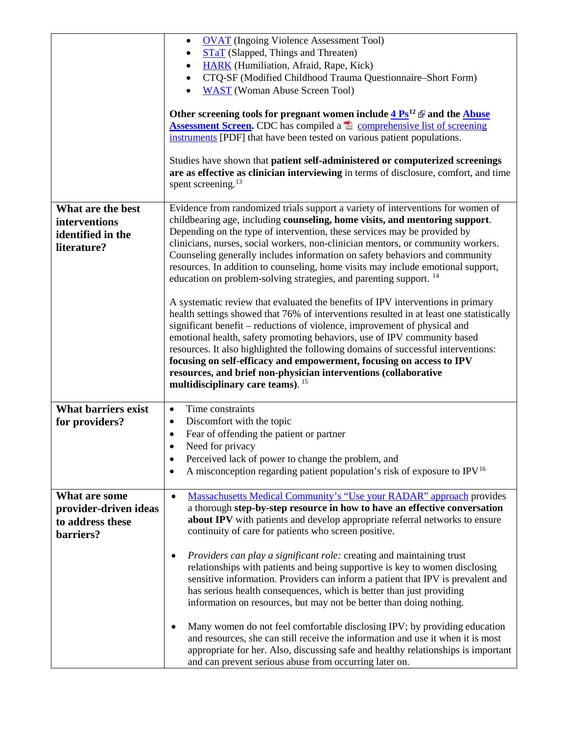|                            | <b>OVAT</b> (Ingoing Violence Assessment Tool)<br>$\bullet$                                                                                 |
|----------------------------|---------------------------------------------------------------------------------------------------------------------------------------------|
|                            | <b>STAT</b> (Slapped, Things and Threaten)<br>٠                                                                                             |
|                            | HARK (Humiliation, Afraid, Rape, Kick)<br>$\bullet$                                                                                         |
|                            | CTQ-SF (Modified Childhood Trauma Questionnaire-Short Form)<br>$\bullet$                                                                    |
|                            | <b>WAST</b> (Woman Abuse Screen Tool)                                                                                                       |
|                            | Other screening tools for pregnant women include $4 \text{Ps}^{12}$ $\Phi$ and the Abuse                                                    |
|                            | <b>Assessment Screen.</b> CDC has compiled a <b>A</b> comprehensive list of screening                                                       |
|                            | instruments [PDF] that have been tested on various patient populations.                                                                     |
|                            |                                                                                                                                             |
|                            | Studies have shown that patient self-administered or computerized screenings                                                                |
|                            | are as effective as clinician interviewing in terms of disclosure, comfort, and time                                                        |
|                            | spent screening. <sup>13</sup>                                                                                                              |
| What are the best          | Evidence from randomized trials support a variety of interventions for women of                                                             |
| interventions              | childbearing age, including counseling, home visits, and mentoring support.                                                                 |
| identified in the          | Depending on the type of intervention, these services may be provided by                                                                    |
| literature?                | clinicians, nurses, social workers, non-clinician mentors, or community workers.                                                            |
|                            | Counseling generally includes information on safety behaviors and community                                                                 |
|                            | resources. In addition to counseling, home visits may include emotional support,                                                            |
|                            | education on problem-solving strategies, and parenting support. <sup>14</sup>                                                               |
|                            | A systematic review that evaluated the benefits of IPV interventions in primary                                                             |
|                            | health settings showed that 76% of interventions resulted in at least one statistically                                                     |
|                            | significant benefit – reductions of violence, improvement of physical and                                                                   |
|                            | emotional health, safety promoting behaviors, use of IPV community based                                                                    |
|                            | resources. It also highlighted the following domains of successful interventions:                                                           |
|                            |                                                                                                                                             |
|                            | focusing on self-efficacy and empowerment, focusing on access to IPV                                                                        |
|                            | resources, and brief non-physician interventions (collaborative                                                                             |
|                            | multidisciplinary care teams). <sup>15</sup>                                                                                                |
| <b>What barriers exist</b> | Time constraints<br>$\bullet$                                                                                                               |
| for providers?             | Discomfort with the topic<br>$\bullet$                                                                                                      |
|                            | Fear of offending the patient or partner<br>٠                                                                                               |
|                            | Need for privacy                                                                                                                            |
|                            | Perceived lack of power to change the problem, and<br>٠                                                                                     |
|                            | A misconception regarding patient population's risk of exposure to $IPV16$<br>٠                                                             |
|                            |                                                                                                                                             |
| What are some              | <b>Massachusetts Medical Community's "Use your RADAR" approach provides</b><br>$\bullet$                                                    |
| provider-driven ideas      | a thorough step-by-step resource in how to have an effective conversation                                                                   |
| to address these           | about IPV with patients and develop appropriate referral networks to ensure<br>continuity of care for patients who screen positive.         |
| barriers?                  |                                                                                                                                             |
|                            | Providers can play a significant role: creating and maintaining trust<br>$\bullet$                                                          |
|                            | relationships with patients and being supportive is key to women disclosing                                                                 |
|                            | sensitive information. Providers can inform a patient that IPV is prevalent and                                                             |
|                            | has serious health consequences, which is better than just providing                                                                        |
|                            | information on resources, but may not be better than doing nothing.                                                                         |
|                            | Many women do not feel comfortable disclosing IPV; by providing education<br>$\bullet$                                                      |
|                            | and resources, she can still receive the information and use it when it is most                                                             |
|                            | appropriate for her. Also, discussing safe and healthy relationships is important<br>and can prevent serious abuse from occurring later on. |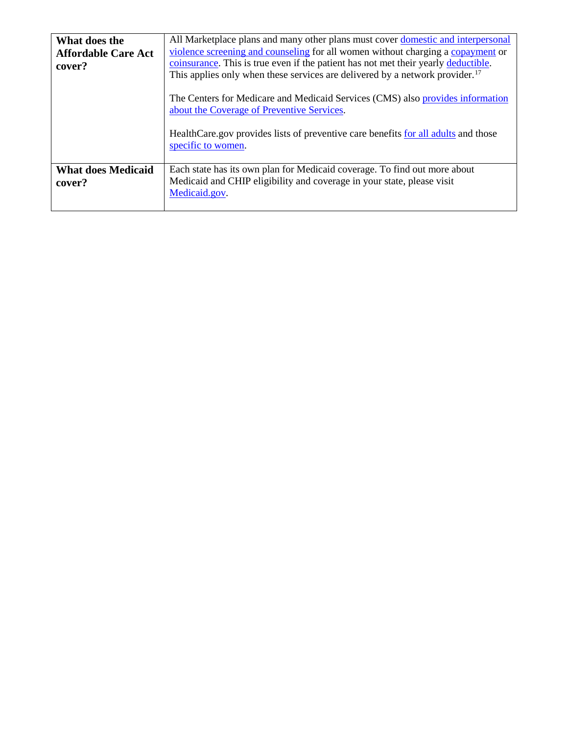| What does the<br><b>Affordable Care Act</b><br>cover? | All Marketplace plans and many other plans must cover domestic and interpersonal<br>violence screening and counseling for all women without charging a copayment or<br>coinsurance. This is true even if the patient has not met their yearly deductible.<br>This applies only when these services are delivered by a network provider. <sup>17</sup><br>The Centers for Medicare and Medicaid Services (CMS) also provides information<br>about the Coverage of Preventive Services.<br>HealthCare.gov provides lists of preventive care benefits for all adults and those<br>specific to women. |
|-------------------------------------------------------|---------------------------------------------------------------------------------------------------------------------------------------------------------------------------------------------------------------------------------------------------------------------------------------------------------------------------------------------------------------------------------------------------------------------------------------------------------------------------------------------------------------------------------------------------------------------------------------------------|
| <b>What does Medicaid</b><br>cover?                   | Each state has its own plan for Medicaid coverage. To find out more about<br>Medicaid and CHIP eligibility and coverage in your state, please visit<br>Medicaid.gov.                                                                                                                                                                                                                                                                                                                                                                                                                              |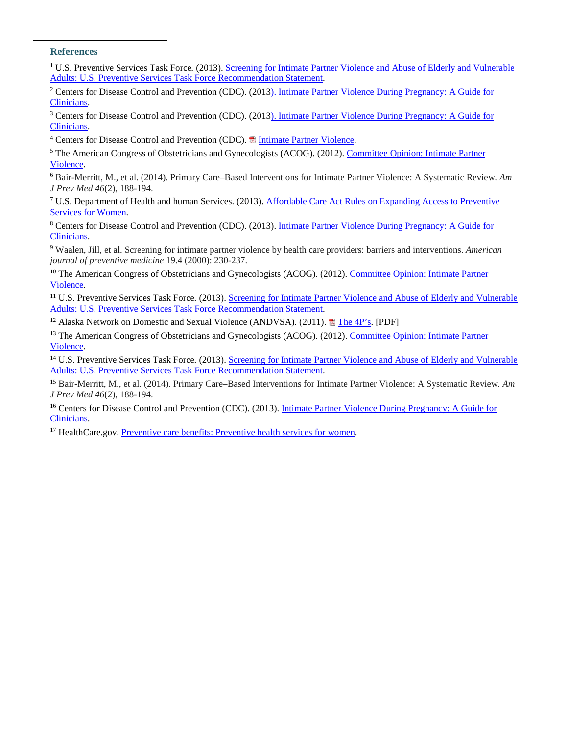#### <span id="page-3-0"></span>**References**

<sup>1</sup> U.S. Preventive Services Task Force. (2013). Screening for Intimate Partner Violence and Abuse of Elderly and Vulnerable [Adults: U.S. Preventive Services Task Force Recommendation Statement.](http://www.uspreventiveservicestaskforce.org/uspstf12/ipvelder/ipvelderfinalrs.htm)

<span id="page-3-1"></span>[Clinicians](http://www.cdc.gov/reproductivehealth/violence/intimatepartnerviolence/sld001.htm). <sup>2</sup> Centers for Disease Control and Prevention (CDC). (201[3\). Intimate Partner Violence During Pregnancy: A Guide for](http://www.cdc.gov/reproductivehealth/violence/intimatepartnerviolence/sld001.htm) 

<span id="page-3-2"></span>[Clinicians](http://www.cdc.gov/reproductivehealth/violence/intimatepartnerviolence/sld001.htm). <sup>3</sup> Centers for Disease Control and Prevention (CDC). (201[3\). Intimate Partner Violence During Pregnancy: A Guide for](http://www.cdc.gov/reproductivehealth/violence/intimatepartnerviolence/sld001.htm) 

<span id="page-3-3"></span><sup>4</sup> Centers for Disease Control and Prevention (CDC). <sup>1</sup> [Intimate Partner Violence](http://www.cdc.gov/media/presskits/aahd/violence.pdf).

<span id="page-3-4"></span>[Violence](http://www.acog.org/Resources_And_Publications/Committee_Opinions/Committee_on_Health_Care_for_Underserved_Women/Intimate_Partner_Violence). <sup>5</sup> The American Congress of Obstetricians and Gynecologists (ACOG). (2012). Committee Opinion: Intimate Partner

<span id="page-3-5"></span><sup>6</sup> Bair-Merritt, M., et al. (2014). Primary Care–Based Interventions for Intimate Partner Violence: A Systematic Review. *Am J Prev Med 46*(2), 188-194.

<span id="page-3-6"></span>[Services for Women](http://www.hhs.gov/healthcare/facts/factsheets/2011/08/womensprevention08012011a.html). <sup>7</sup> U.S. Department of Health and human Services. (2013). [Affordable Care Act Rules on Expanding Access to Preventive](http://www.hhs.gov/healthcare/facts/factsheets/2011/08/womensprevention08012011a.html) 

<span id="page-3-7"></span>[Clinicians](http://www.cdc.gov/reproductivehealth/violence/intimatepartnerviolence/sld001.htm). <sup>8</sup> Centers for Disease Control and Prevention (CDC). (2013). [Intimate Partner Violence During Pregnancy: A Guide for](http://www.cdc.gov/reproductivehealth/violence/intimatepartnerviolence/sld001.htm) 

<span id="page-3-8"></span><sup>9</sup> Waalen, Jill, et al. Screening for intimate partner violence by health care providers: barriers and interventions. *American journal of preventive medicine* 19.4 (2000): 230-237.

<span id="page-3-9"></span><sup>10</sup> The American Congress of Obstetricians and Gynecologists (ACOG). (2012). Committee Opinion: Intimate Partner [Violence.](http://www.acog.org/Resources_And_Publications/Committee_Opinions/Committee_on_Health_Care_for_Underserved_Women/Intimate_Partner_Violence)

<span id="page-3-10"></span>[Adults: U.S. Preventive Services Task Force Recommendation Statement](http://www.uspreventiveservicestaskforce.org/uspstf12/ipvelder/ipvelderfinalrs.htm). <sup>11</sup> U.S. Preventive Services Task Force*.* (2013). [Screening for Intimate Partner Violence and Abuse of Elderly and Vulnerable](http://www.uspreventiveservicestaskforce.org/uspstf12/ipvelder/ipvelderfinalrs.htm) 

<sup>12</sup> Alaska Network on Domestic and Sexual Violence (ANDVSA). (2011). **A** [The 4P's](http://www.andvsa.org/wp-content/uploads/2013/02/14j-The-4-Ps.pdf). [PDF]

[Violence](http://www.acog.org/Resources_And_Publications/Committee_Opinions/Committee_on_Health_Care_for_Underserved_Women/Intimate_Partner_Violence). <sup>13</sup> The American Congress of Obstetricians and Gynecologists (ACOG). (2012). Committee Opinion: Intimate Partner

[Adults: U.S. Preventive Services Task Force Recommendation Statement](http://www.uspreventiveservicestaskforce.org/uspstf12/ipvelder/ipvelderfinalrs.htm). <sup>14</sup> U.S. Preventive Services Task Force*.* (2013). [Screening for Intimate Partner Violence and Abuse of Elderly and Vulnerable](http://www.uspreventiveservicestaskforce.org/uspstf12/ipvelder/ipvelderfinalrs.htm) 

<sup>15</sup> Bair-Merritt, M., et al. (2014). Primary Care–Based Interventions for Intimate Partner Violence: A Systematic Review. *Am J Prev Med 46*(2), 188-194.

<sup>16</sup> Centers for Disease Control and Prevention (CDC). (2013)[. Intimate Partner Violence During Pregnancy: A Guide for](http://www.cdc.gov/reproductivehealth/violence/intimatepartnerviolence/sld011.htm%2311)  [Clinicians.](http://www.cdc.gov/reproductivehealth/violence/intimatepartnerviolence/sld011.htm%2311) 

<sup>17</sup> HealthCare[.](https://www.healthcare.gov/what-are-my-preventive-care-benefits/women/)gov. Preventive care benefits: Preventive health services for women.